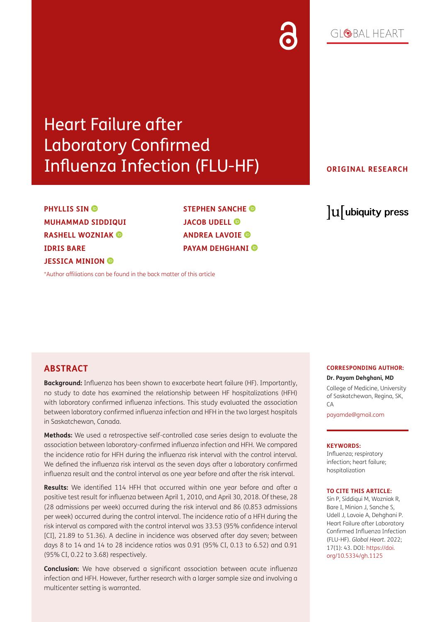## $G[QBA] HFART$

# Heart Failure after Laboratory Confirmed Influenza Infection (FLU-HF)

## **ORIGINAL RESEARCH**

**PHYLLISSIN**<sup>**<sup><b>D</sup>**</sup></sup> **MUHAMMAD SIDDIQUI RASHELL WOZNIAK IDRIS BARE JESSICA MINION** 

**STEPHEN SANCHE JACOBUDELL<sup>®</sup> ANDREA LAVOIE PAYAM DEHGHANI** 

lu ubiquity press

### [\\*Author affiliations can be found in the back matter of this article](#page-7-0)

## **ABSTRACT**

**Background:** Influenza has been shown to exacerbate heart failure (HF). Importantly, no study to date has examined the relationship between HF hospitalizations (HFH) with laboratory confirmed influenza infections. This study evaluated the association between laboratory confirmed influenza infection and HFH in the two largest hospitals in Saskatchewan, Canada.

**Methods:** We used a retrospective self-controlled case series design to evaluate the association between laboratory-confirmed influenza infection and HFH. We compared the incidence ratio for HFH during the influenza risk interval with the control interval. We defined the influenza risk interval as the seven days after a laboratory confirmed influenza result and the control interval as one year before and after the risk interval.

**Results:** We identified 114 HFH that occurred within one year before and after a positive test result for influenza between April 1, 2010, and April 30, 2018. Of these, 28 (28 admissions per week) occurred during the risk interval and 86 (0.853 admissions per week) occurred during the control interval. The incidence ratio of a HFH during the risk interval as compared with the control interval was 33.53 (95% confidence interval [CI], 21.89 to 51.36). A decline in incidence was observed after day seven; between days 8 to 14 and 14 to 28 incidence ratios was 0.91 (95% CI, 0.13 to 6.52) and 0.91 (95% CI, 0.22 to 3.68) respectively.

**Conclusion:** We have observed a significant association between acute influenza infection and HFH. However, further research with a larger sample size and involving a multicenter setting is warranted.

#### **CORRESPONDING AUTHOR:**

**Dr. Payam Dehghani, MD**

College of Medicine, University of Saskatchewan, Regina, SK,  $\Gamma$  $\Delta$ 

[payamde@gmail.com](mailto:payamde@gmail.com)

#### **KEYWORDS:**

Influenza; respiratory infection; heart failure; hospitalization

#### **TO CITE THIS ARTICLE:**

Sin P, Siddiqui M, Wozniak R, Bare I, Minion J, Sanche S, Udell J, Lavoie A, Dehghani P. Heart Failure after Laboratory Confirmed Influenza Infection (FLU-HF). *Global Heart*. 2022; 17(1): 43. DOI: [https://doi.](https://doi.org/10.5334/gh.1125) [org/10.5334/gh.1125](https://doi.org/10.5334/gh.1125)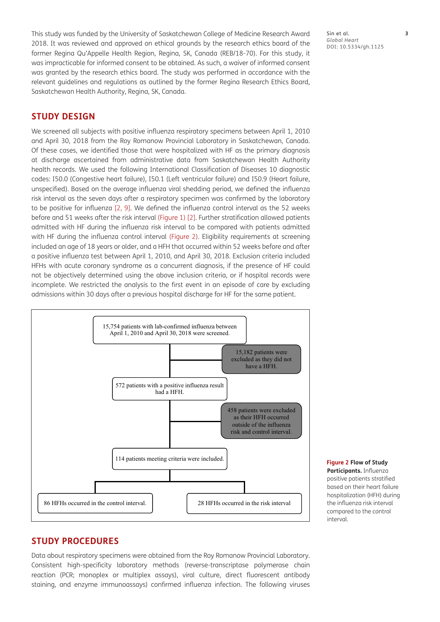This study was funded by the University of Saskatchewan College of Medicine Research Award 2018. It was reviewed and approved on ethical grounds by the research ethics board of the former Regina Qu'Appelle Health Region, Regina, SK, Canada (REB/18-70). For this study, it was impracticable for informed consent to be obtained. As such, a waiver of informed consent was granted by the research ethics board. The study was performed in accordance with the relevant guidelines and regulations as outlined by the former Regina Research Ethics Board, Saskatchewan Health Authority, Regina, SK, Canada.

## **STUDY DESIGN**

We screened all subjects with positive influenza respiratory specimens between April 1, 2010 and April 30, 2018 from the Roy Romanow Provincial Laboratory in Saskatchewan, Canada. Of these cases, we identified those that were hospitalized with HF as the primary diagnosis at discharge ascertained from administrative data from Saskatchewan Health Authority health records. We used the following International Classification of Diseases 10 diagnostic codes: I50.0 (Congestive heart failure), I50.1 (Left ventricular failure) and I50.9 (Heart failure, unspecified). Based on the average influenza viral shedding period, we defined the influenza risk interval as the seven days after a respiratory specimen was confirmed by the laboratory to be positive for influenza [[2](#page-7-1), [9\]](#page-8-0). We defined the influenza control interval as the 52 weeks before and 51 weeks after the risk interval [\(Figure 1](#page-1-0)) [\[2\]](#page-7-1). Further stratification allowed patients admitted with HF during the influenza risk interval to be compared with patients admitted with HF during the influenza control interval ([Figure 2\)](#page-2-0). Eligibility requirements at screening included an age of 18 years or older, and a HFH that occurred within 52 weeks before and after a positive influenza test between April 1, 2010, and April 30, 2018. Exclusion criteria included HFHs with acute coronary syndrome as a concurrent diagnosis, if the presence of HF could not be objectively determined using the above inclusion criteria, or if hospital records were incomplete. We restricted the analysis to the first event in an episode of care by excluding admissions within 30 days after a previous hospital discharge for HF for the same patient.



<span id="page-2-0"></span>**Figure 2 Flow of Study Participants.** Influenza positive patients stratified based on their heart failure hospitalization (HFH) during the influenza risk interval compared to the control interval.

## **STUDY PROCEDURES**

Data about respiratory specimens were obtained from the Roy Romanow Provincial Laboratory. Consistent high-specificity laboratory methods (reverse-transcriptase polymerase chain reaction (PCR; monoplex or multiplex assays), viral culture, direct fluorescent antibody staining, and enzyme immunoassays) confirmed influenza infection. The following viruses

Sin et al. **3** *Global Heart* DOI: 10.5334/gh.1125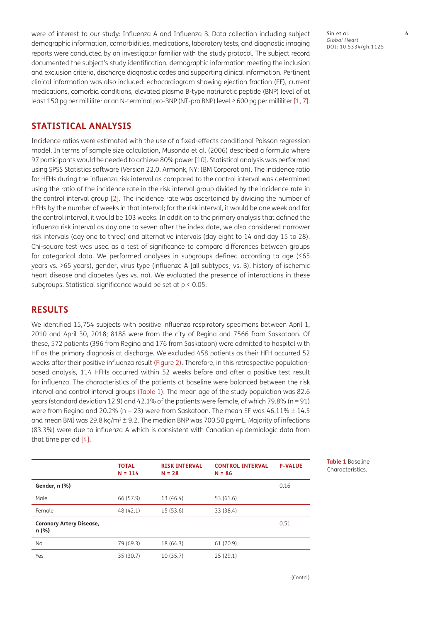were of interest to our study: Influenza A and Influenza B. Data collection including subject demographic information, comorbidities, medications, laboratory tests, and diagnostic imaging reports were conducted by an investigator familiar with the study protocol. The subject record documented the subject's study identification, demographic information meeting the inclusion and exclusion criteria, discharge diagnostic codes and supporting clinical information. Pertinent clinical information was also included: echocardiogram showing ejection fraction (EF), current medications, comorbid conditions, elevated plasma B-type natriuretic peptide (BNP) level of at least 150 pg per milliliter or an N-terminal pro-BNP (NT-pro BNP) level ≥ 600 pg per milliliter [\[1](#page-7-2), [7](#page-8-1)].

## **STATISTICAL ANALYSIS**

Incidence ratios were estimated with the use of a fixed-effects conditional Poisson regression model. In terms of sample size calculation, Musonda et al. (2006) described a formula where 97 participants would be needed to achieve 80% power [[10\]](#page-8-2). Statistical analysis was performed using SPSS Statistics software (Version 22.0. Armonk, NY: IBM Corporation). The incidence ratio for HFHs during the influenza risk interval as compared to the control interval was determined using the ratio of the incidence rate in the risk interval group divided by the incidence rate in the control interval group [[2\]](#page-7-1). The incidence rate was ascertained by dividing the number of HFHs by the number of weeks in that interval; for the risk interval, it would be one week and for the control interval, it would be 103 weeks. In addition to the primary analysis that defined the influenza risk interval as day one to seven after the index date, we also considered narrower risk intervals (day one to three) and alternative intervals (day eight to 14 and day 15 to 28). Chi-square test was used as a test of significance to compare differences between groups for categorical data. We performed analyses in subgroups defined according to age (≤65 years vs. >65 years), gender, virus type (influenza A [all subtypes] vs. B), history of ischemic heart disease and diabetes (yes vs. no). We evaluated the presence of interactions in these subgroups. Statistical significance would be set at p < 0.05.

## **RESULTS**

We identified 15,754 subjects with positive influenza respiratory specimens between April 1, 2010 and April 30, 2018; 8188 were from the city of Regina and 7566 from Saskatoon. Of these, 572 patients (396 from Regina and 176 from Saskatoon) were admitted to hospital with HF as the primary diagnosis at discharge. We excluded 458 patients as their HFH occurred 52 weeks after their positive influenza result [\(Figure 2\)](#page-2-0). Therefore, in this retrospective populationbased analysis, 114 HFHs occurred within 52 weeks before and after a positive test result for influenza. The characteristics of the patients at baseline were balanced between the risk interval and control interval groups [\(Table 1\)](#page-3-0). The mean age of the study population was 82.6 years (standard deviation 12.9) and 42.1% of the patients were female, of which 79.8% (n = 91) were from Regina and 20.2% (n = 23) were from Saskatoon. The mean EF was  $46.11\% \pm 14.5$ and mean BMI was 29.8 kg/m<sup>2</sup>  $\pm$  9.2. The median BNP was 700.50 pg/mL. Majority of infections (83.3%) were due to influenza A which is consistent with Canadian epidemiologic data from that time period [[4](#page-8-3)].

|                                          | <b>TOTAL</b><br>$N = 114$ | <b>RISK INTERVAL</b><br>$N = 28$ | <b>CONTROL INTERVAL</b><br>$N = 86$ | <b>P-VALUE</b> |
|------------------------------------------|---------------------------|----------------------------------|-------------------------------------|----------------|
| Gender, n (%)                            |                           |                                  |                                     | 0.16           |
| Male                                     | 66 (57.9)                 | 13 (46.4)                        | 53 (61.6)                           |                |
| Female                                   | 48 (42.1)                 | 15(53.6)                         | 33 (38.4)                           |                |
| <b>Coronary Artery Disease,</b><br>n (%) |                           |                                  |                                     | 0.51           |
| <b>No</b>                                | 79 (69.3)                 | 18 (64.3)                        | 61 (70.9)                           |                |
| Yes                                      | 35 (30.7)                 | 10(35.7)                         | 25(29.1)                            |                |
|                                          |                           |                                  |                                     |                |

Sin et al. **4** *Global Heart* DOI: 10.5334/gh.1125

<span id="page-3-0"></span>**Table 1** Baseline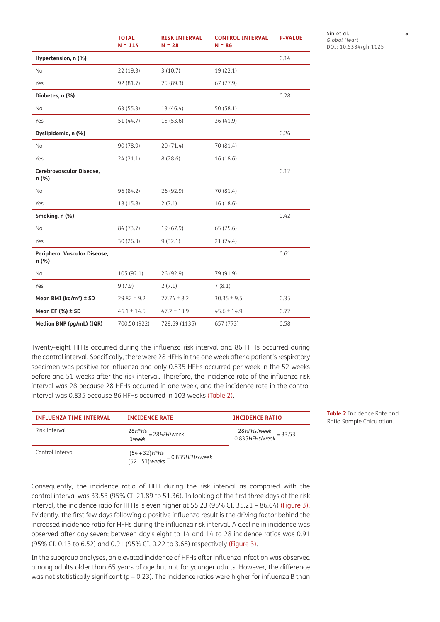|                                       | <b>TOTAL</b><br>$N = 114$ | <b>RISK INTERVAL</b><br>$N = 28$ | <b>CONTROL INTERVAL</b><br>$N = 86$ | <b>P-VALUE</b> |
|---------------------------------------|---------------------------|----------------------------------|-------------------------------------|----------------|
| Hypertension, n (%)                   |                           |                                  |                                     | 0.14           |
| No                                    | 22 (19.3)                 | 3(10.7)                          | 19 (22.1)                           |                |
| Yes                                   | 92 (81.7)                 | 25 (89.3)                        | 67 (77.9)                           |                |
| Diabetes, n (%)                       |                           |                                  |                                     | 0.28           |
| <b>No</b>                             | 63 (55.3)                 | 13 (46.4)                        | 50(58.1)                            |                |
| Yes                                   | 51 (44.7)                 | 15 (53.6)                        | 36 (41.9)                           |                |
| Dyslipidemia, n (%)                   |                           |                                  |                                     | 0.26           |
| <b>No</b>                             | 90 (78.9)                 | 20(71.4)                         | 70 (81.4)                           |                |
| Yes                                   | 24(21.1)                  | 8(28.6)                          | 16 (18.6)                           |                |
| Cerebrovascular Disease,<br>n (%)     |                           |                                  |                                     | 0.12           |
| <b>No</b>                             | 96 (84.2)                 | 26 (92.9)                        | 70 (81.4)                           |                |
| Yes                                   | 18 (15.8)                 | 2(7.1)                           | 16 (18.6)                           |                |
| Smoking, n (%)                        |                           |                                  |                                     | 0.42           |
| No                                    | 84 (73.7)                 | 19 (67.9)                        | 65 (75.6)                           |                |
| Yes                                   | 30 (26.3)                 | 9(32.1)                          | 21(24.4)                            |                |
| Peripheral Vascular Disease,<br>n (%) |                           |                                  |                                     | 0.61           |
| No                                    | 105 (92.1)                | 26 (92.9)                        | 79 (91.9)                           |                |
| Yes                                   | 9(7.9)                    | 2(7.1)                           | 7(8.1)                              |                |
| Mean BMI (kg/m <sup>2</sup> ) ± SD    | $29.82 \pm 9.2$           | $27.74 \pm 8.2$                  | $30.35 \pm 9.5$                     | 0.35           |
| Mean EF $(% )$ + SD                   | $46.1 \pm 14.5$           | $47.2 \pm 13.9$                  | $45.6 \pm 14.9$                     | 0.72           |
| Median BNP (pg/mL) (IQR)              | 700.50 (922)              | 729.69 (1135)                    | 657 (773)                           | 0.58           |

Sin et al. **5** *Global Heart* DOI: 10.5334/gh.1125

<span id="page-4-0"></span>**Table 2** Incidence Rate and  $Ration Sample Calculation.$ 

Twenty-eight HFHs occurred during the influenza risk interval and 86 HFHs occurred during the control interval. Specifically, there were 28 HFHs in the one week after a patient's respiratory specimen was positive for influenza and only 0.835 HFHs occurred per week in the 52 weeks before and 51 weeks after the risk interval. Therefore, the incidence rate of the influenza risk interval was 28 because 28 HFHs occurred in one week, and the incidence rate in the control interval was 0.835 because 86 HFHs occurred in 103 weeks ([Table 2](#page-4-0)).

| <b>INFLUENZA TIME INTERVAL</b> | <b>INCIDENCE RATE</b>                                 | <b>INCIDENCE RATIO</b>                                         |
|--------------------------------|-------------------------------------------------------|----------------------------------------------------------------|
| Risk Interval                  | $\frac{28 \text{ HFHs}}{28 \text{ HFH}}$<br>1week     | $\frac{28 \text{ HFHs/week}}{23.53}$ = 33.53<br>0.835HFHs/week |
| Control Interval               | $\frac{(54+32)$ HFHs<br>(52+51)weeks = 0.835HFHs/week |                                                                |

Consequently, the incidence ratio of HFH during the risk interval as compared with the control interval was 33.53 (95% CI, 21.89 to 51.36). In looking at the first three days of the risk interval, the incidence ratio for HFHs is even higher at 55.23 (95% CI, 35.21 – 86.64) ([Figure 3](#page-5-0)). Evidently, the first few days following a positive influenza result is the driving factor behind the increased incidence ratio for HFHs during the influenza risk interval. A decline in incidence was observed after day seven; between day's eight to 14 and 14 to 28 incidence ratios was 0.91 (95% CI, 0.13 to 6.52) and 0.91 (95% CI, 0.22 to 3.68) respectively [\(Figure 3](#page-5-0)).

In the subgroup analyses, an elevated incidence of HFHs after influenza infection was observed among adults older than 65 years of age but not for younger adults. However, the difference was not statistically significant ( $p = 0.23$ ). The incidence ratios were higher for influenza B than